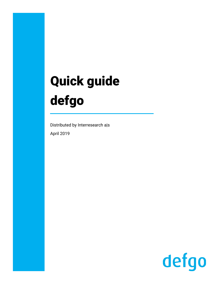# Quick guide defgo

Distributed by Interresearch a|s April 2019

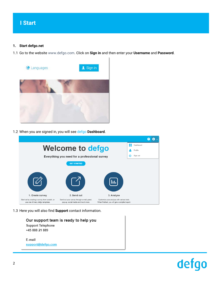#### **1. Start defgo.net**

1.1 Go to the website [www.defgo.com.](file://SERVER11/Data/Projects/defgo/SPB-Design/Presentation/Course%20presentation/Richard/new-design/new/word/Quick%20Guide%20defgo/www.defgo.com) Click on **Sign in** and then enter your **Username** and **Password**.



1.2 When you are signed in, you will see defgo **Dashboard**.



1.3 Here you will also find **Support** contact information.

| Our support team is ready to help you |
|---------------------------------------|
| <b>Support Telephone</b>              |
| +45 888 21 889                        |
|                                       |
| E-mail                                |
| support@defgo.com                     |

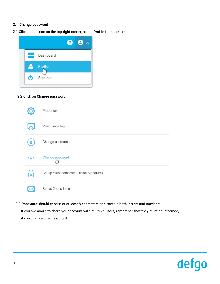#### **2. Change password**

2.1 Click on the icon on the top right corner, select **Profile** from the menu.



#### 2.2 Click on **Change password.**

|           | Properties                                    |
|-----------|-----------------------------------------------|
|           | View usage log                                |
|           | Change username                               |
| $***$     | Change password<br>I <sup>m</sup>             |
| $\bullet$ | Set up client certificate (Digital Signature) |
|           | Set up 2-step login                           |

2.3 **Password** should consist of at least 8 characters and contain both letters and numbers.

 If you are about to share your account with multiple users, remember that they must be informed, if you changed the password.

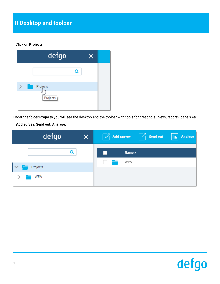#### Click on **Projects:**

| defgo                       |   | X |  |
|-----------------------------|---|---|--|
|                             | Q |   |  |
| Projects<br>lhn<br>Projects |   |   |  |

Under the folder **Projects** you will see the desktop and the toolbar with tools for creating surveys, reports, panels etc.

– **Add survey, Send out, Analyse.**

| defgo                              | $\times$ | $\boxed{\mathscr{O}}$ Add survey $\boxed{\phantom{a}}$ Send out $\boxed{   \cdot   }$ Analyse |  |
|------------------------------------|----------|-----------------------------------------------------------------------------------------------|--|
|                                    |          | Name $\triangle$                                                                              |  |
| $\mathsf{I}\mathsf{v}$<br>Projects |          | <b>WPA</b>                                                                                    |  |
| <b>WPA</b><br>$\rightarrow$ 1      |          |                                                                                               |  |

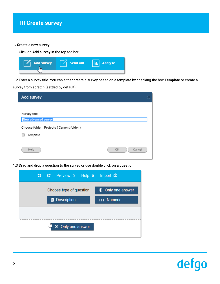#### **1. Create a new survey**

1.1 Click on **Add survey** in the top toolbar.

| <b>Add survey</b><br>$\mathscr{O}$ | Send out | Analyse |
|------------------------------------|----------|---------|
|                                    |          |         |

1.2 Enter a survey title. You can either create a survey based on a template by checking the box **Template** or create a

survey from scratch (settled by default).

| Add survey                                          |              |
|-----------------------------------------------------|--------------|
| Survey title<br>New advanced survey                 |              |
| Choose folder Projects (Current folder)<br>Template |              |
| Help                                                | OK<br>Cancel |

1.3 Drag and drop a question to the survey or use double click on a question.

|                   |   | つ C Preview a Help o Import 山 |  |                          |
|-------------------|---|-------------------------------|--|--------------------------|
|                   |   | Choose type of question:      |  | <b>◎</b> Only one answer |
|                   | Ë | <b>Description</b>            |  | 123 Numeric              |
|                   |   |                               |  |                          |
| ● Only one answer |   |                               |  |                          |

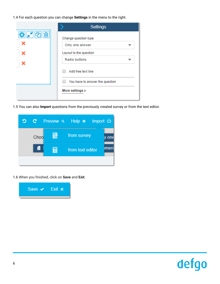1.4 For each question you can change **Settings** in the menu to the right.

|     | <b>Settings</b>                 |
|-----|---------------------------------|
| ✿,∽ | Change question type            |
|     | Only one answer                 |
|     | Layout to the question          |
|     | <b>Radio buttons</b>            |
|     | Add free text line              |
|     | You have to answer the question |
|     | More settings >                 |

1.5 You can also **Import** questions from the previously created survey or from the text editor.



1.6 When you finished, click on **Save** and **Exit**.



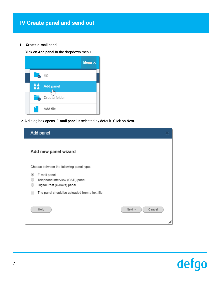## **IV Create panel and send out**

#### **1. Create e-mail panel**

1.1 Click on **Add panel** in the dropdown menu



1.2 A dialog box opens, **E-mail panel** is selected by default. Click on **Next.**

| Add panel                                                                            |                         |
|--------------------------------------------------------------------------------------|-------------------------|
| Add new panel wizard                                                                 |                         |
| Choose between the following panel types                                             |                         |
| E-mail panel<br>œ<br>Telephone interview (CATI) panel<br>Digital Post (e-Boks) panel |                         |
| The panel should be uploaded from a text file                                        |                         |
| Help                                                                                 | Next ><br>Cancel<br>//, |

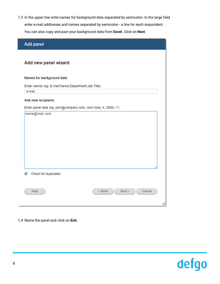1.3 In the upper line write names for background data separated by semicolon. In the large field enter e-mail addresses and names separated by semicolon - a line for each respondent. You can also copy and past your background data from **Excel**. Click on **Next**.

| Add panel                                                      |     |
|----------------------------------------------------------------|-----|
|                                                                |     |
| Add new panel wizard                                           |     |
| Names for background data                                      |     |
| Enter names (eg. E-mail; Name; Department; Job Title)          |     |
| e-mail                                                         |     |
| Add new recipients                                             |     |
| Enter panel data (eg. john@company.com; John Doe; A; 2000) (?) |     |
| name@mail.com                                                  |     |
|                                                                |     |
|                                                                |     |
|                                                                |     |
|                                                                |     |
|                                                                |     |
|                                                                |     |
|                                                                |     |
|                                                                |     |
| ✔<br>Check for duplicates                                      |     |
|                                                                |     |
| Help<br>$<$ Back<br>Next<br>Cancel                             |     |
|                                                                |     |
|                                                                | //, |

#### 1.4 Name the panel and click on **Exit.**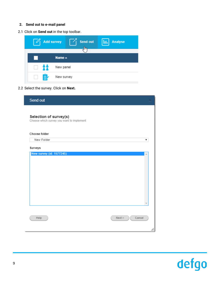#### **2. Send out to e-mail panel**

2.1 Click on **Send out** in the top toolbar.

| <b>Add survey</b> |                  | Send out<br>$\mathfrak{h}_{\mathsf{m}}$ | <b>Analyse</b><br>Iш |
|-------------------|------------------|-----------------------------------------|----------------------|
|                   |                  |                                         |                      |
|                   | Name $\triangle$ |                                         |                      |
| -99<br>$\Box$     | New panel        |                                         |                      |
| E,<br>$\Box$      | New survey       |                                         |                      |

#### 2.2 Select the survey. Click on **Next.**

| Send out                                                            |                         |
|---------------------------------------------------------------------|-------------------------|
| Selection of survey(s)<br>Choose which survey you want to implement |                         |
| Choose folder                                                       |                         |
| New Folder                                                          | ▼                       |
| Surveys                                                             |                         |
| <b>New survey (id: 1577245)</b>                                     | ă.                      |
| Help                                                                | Cancel<br>Next ><br>/i. |

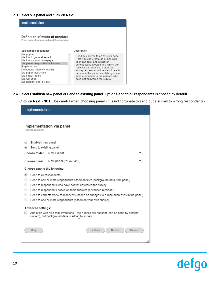#### 2.3 Select **Via panel** and click on **Next.**

| Implementation                                                                                                                                                                                                                                  |                                                                                                                                                                                                                                                                                                                                                        |  |
|-------------------------------------------------------------------------------------------------------------------------------------------------------------------------------------------------------------------------------------------------|--------------------------------------------------------------------------------------------------------------------------------------------------------------------------------------------------------------------------------------------------------------------------------------------------------------------------------------------------------|--|
| Definition of mode of conduct<br>Press mode of conduct and read the description                                                                                                                                                                 |                                                                                                                                                                                                                                                                                                                                                        |  |
| Select mode of conduct                                                                                                                                                                                                                          | Description                                                                                                                                                                                                                                                                                                                                            |  |
| via pop-up<br>via link in general e-mail<br>via link on your homepage<br>via panel (respondent is known)<br>Paper survey<br>Telephone interview (CATI)<br>via paper instruction<br>via social media<br>via OR code<br>via Digital Post (e-Boks) | Send this survey to an existing panel.<br>Here you can create an e-mail with<br>your own text, and attach an<br>automatically created link, which the<br>receiver can click on to start the<br>survey. An e-mail will be sent to each<br>person in the panel, and later you can<br>send a reminder to the persons who<br>have not answered the survey. |  |

2.4 Select **Establish new panel** or **Send to existing panel**. Option **Send to all respondents** is chosen by default.

Click on **Next**. (**NOTE**: be careful when choosing panel - it is not fortunate to send out a survey to wrong respondents).

| Implementation                                           |                                                                                                                                               |  |  |  |  |
|----------------------------------------------------------|-----------------------------------------------------------------------------------------------------------------------------------------------|--|--|--|--|
| Choose recipient                                         | Implementation via panel                                                                                                                      |  |  |  |  |
| Establish new panel                                      |                                                                                                                                               |  |  |  |  |
| Send to existing panel                                   |                                                                                                                                               |  |  |  |  |
| Choose folder                                            | New Folder<br>▼                                                                                                                               |  |  |  |  |
| Choose panel                                             | New panel (id: 470455)<br>¥                                                                                                                   |  |  |  |  |
| Choose among the following                               |                                                                                                                                               |  |  |  |  |
| Send to all respondents<br>$\left( \blacksquare \right)$ |                                                                                                                                               |  |  |  |  |
| $\left( \quad \right)$                                   | Send to one or more respondents based on filter (background data from panel)                                                                  |  |  |  |  |
| $\bigcirc$                                               | Send to respondents who have not yet answered the survey                                                                                      |  |  |  |  |
| $\bigcirc$                                               | Send to respondents based on their answers (advanced reminder)                                                                                |  |  |  |  |
| $\bigcirc$                                               | Send to corrected/new respondents (based on changes to e-mail-addresses in the panel)                                                         |  |  |  |  |
| $\circ$                                                  | Send to one or more respondents (based on your own choice)                                                                                    |  |  |  |  |
| <b>Advanced settings:</b>                                |                                                                                                                                               |  |  |  |  |
|                                                          | Add a file with all e-mail invitations - the e-mails are not sent (can be done by external<br>system), but background data is added to survey |  |  |  |  |
| Help                                                     | $<$ Back<br>Next<br>Cancel                                                                                                                    |  |  |  |  |

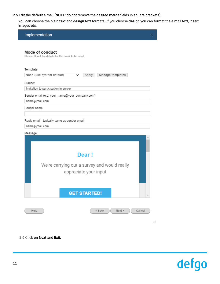2.5 Edit the default e-mail (**NOTE**: do not remove the desired merge fields in square brackets).

You can choose the **plain text** and **design** text formats. If you choose **design** you can format the e-mail text, insert images etc.

| Implementation                                                                                |     |
|-----------------------------------------------------------------------------------------------|-----|
| Mode of conduct<br>Please fill out the details for the email to be send.                      |     |
| Template<br>None (use system default)<br>Apply<br>Manage templates<br>$\checkmark$<br>Subject |     |
| Invitation to participation in survey                                                         |     |
| Sender email (e.g. your_name@your_company.com)                                                |     |
| name@mail.com<br>Sender name                                                                  |     |
|                                                                                               |     |
| Reply email - typically same as sender email                                                  |     |
| name@mail.com                                                                                 |     |
| Message                                                                                       |     |
| Dear!                                                                                         |     |
| We're carrying out a survey and would really<br>appreciate your input                         |     |
| <b>GET STARTED!</b>                                                                           | ▼   |
| $<$ Back<br>Next<br>Cancel<br>Help                                                            | /i. |

2.6 Click on **Next** and **Exit.**

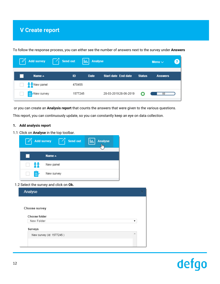## **V Create report**

To follow the response process, you can either see the number of answers next to the survey under **Answers**

|              | $\mathbb{Z}_1$ Add survey $\mathbb{Z}_1$ Send out |         | <b>III.</b> Analyse |                       |               | Menu $\vee$    |  |
|--------------|---------------------------------------------------|---------|---------------------|-----------------------|---------------|----------------|--|
|              | Name $\triangle$                                  | ID      | <b>Date</b>         | Start date End date   | <b>Status</b> | <b>Answers</b> |  |
|              | $\frac{2}{3}$ New panel                           | 470455  |                     |                       |               |                |  |
| $\mathbb{L}$ | New survey                                        | 1577245 |                     | 28-03-2019 28-06-2019 |               | 10             |  |

or you can create an **Analysis report** that counts the answers that were given to the various questions.

This report, you can continuously update, so you can constantly keep an eye on data collection.

#### **1. Add analysis report**

1.1 Click on **Analyse** in the top toolbar.



#### 1.2 Select the survey and click on **Ok.**

| Analyse                  |   |
|--------------------------|---|
|                          |   |
| Choose survey            |   |
| Choose folder            |   |
| New Folder               | ▼ |
| Surveys                  |   |
| New survey (id: 1577245) | 业 |
|                          |   |
|                          |   |

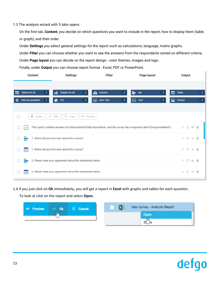1.3 The analysis wizard with 5 tabs opens.

On the first tab, **Content**, you decide on which questions you want to include in the report, how to display them (table or graph), and their order.

Under **Settings** you select general settings for the report such as calculations, language, matrix graphs.

Under **Filter** you can choose whether you want to see the answers from the respondents sorted on different criteria.

Under **Page layout** you can decide on the report design - color themes, images and logo.

Finally, under **Output** you can choose report format - Excel, PDF or PowerPoint.

| <b>Content</b>                                         | <b>Settings</b>                                           | <b>Filter</b>                | Page layout                                                                                                            | Output                         |
|--------------------------------------------------------|-----------------------------------------------------------|------------------------------|------------------------------------------------------------------------------------------------------------------------|--------------------------------|
|                                                        |                                                           |                              |                                                                                                                        |                                |
| <b>Tables for all</b><br>囷                             | <b>Graphs for all</b><br>ub.<br>+                         | 11 Column<br>+               | =-<br>Bar<br>+                                                                                                         | <b>Table</b><br>囲<br>+         |
| Add one question<br>O<br>+                             | Pie<br>¢<br>+                                             | <b>Intro Text</b><br>ab<br>+ | Text<br>目<br>+                                                                                                         | Picture<br>ĿА<br>$\ddot{}$     |
|                                                        |                                                           |                              |                                                                                                                        |                                |
| Ò<br>û<br><b>Delete</b><br>$\mathcal{L}_{\mathcal{A}}$ | ⋔<br>Edit<br>Copy<br>$\circ$<br>Preview                   |                              |                                                                                                                        |                                |
| ab                                                     |                                                           |                              | This report contains answers for [respondentsTotal] respondents, and the survey has a response rate of [responseRateTo | n<br>$_{\odot}$<br>面           |
|                                                        | 1. Where did you first hear about this course?            |                              |                                                                                                                        | n<br>0<br>$_{\odot}$           |
| 聑                                                      | 1. Where did you first hear about this course?            |                              |                                                                                                                        | 0<br>n<br>$\circ$ $\mathbb{m}$ |
|                                                        | 2. Please state your agreement about the statements below |                              |                                                                                                                        | Ò<br>n<br>$\circ$ m            |
| 甲                                                      | 2. Please state your agreement about the statements below |                              |                                                                                                                        | n<br>0<br>血<br>$\odot$         |

1.4 If you just click on **Ok** immediately, you will get a report in **Excel** with graphs and tables for each question.

To look at click on the report and select **Open.**

| O Preview |   | $\sim$ Ok $\sim$ Cancel | New survey - Analysis Report |
|-----------|---|-------------------------|------------------------------|
|           | m |                         | Open                         |
|           |   |                         |                              |
|           |   |                         |                              |

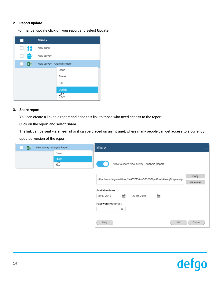#### **2. Report update**

For manual update click on your report and select **Update.**

|           | Name $\triangle$             |               |
|-----------|------------------------------|---------------|
| ăž<br>H   | New panel                    |               |
| E,        | New survey                   |               |
| x ∄<br>L. | New survey - Analysis Report |               |
|           |                              | Open          |
|           |                              | Share         |
|           |                              | Edit          |
|           |                              | <b>Update</b> |
|           |                              |               |

#### **3. Share report**

You can create a link to a report and send this link to those who need access to the report.

Click on the report and select **Share.**

The link can be sent via an e-mail or it can be placed on an intranet, where many people can get access to a currently updated version of the report.

| $x \equiv$<br>New survey - Analysis Report | Share                                                                  | $\boxtimes$        |
|--------------------------------------------|------------------------------------------------------------------------|--------------------|
| Open<br><b>Share</b><br>$\frac{1}{2}$      | Allow to share New survey - Analysis Report                            |                    |
|                                            | https://www.defgo.net/d.asp?i=483775&d=QS52Q5&j=0&s=1&l=eng&key=analy: | Copy<br>Via e-mail |
|                                            | Available dates:<br>₩<br>₩<br>27-06-2019<br>29-03-2019                 |                    |
|                                            | Password (optional):<br>◉                                              |                    |
|                                            | OK<br>Help                                                             | Cancel             |

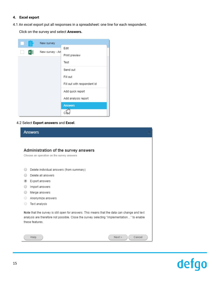#### **4. Excel export**

4.1 An excel export put all responses in a spreadsheet: one line for each respondent.

Click on the survey and select **Answers.**

| Ξ | New survey      |                             |
|---|-----------------|-----------------------------|
|   | New survey - An | Edit                        |
|   |                 | Print preview               |
|   |                 | Test                        |
|   |                 | Send out                    |
|   |                 | Fill out                    |
|   |                 | Fill out with respondent id |
|   |                 | Add quick report            |
|   |                 | Add analysis report         |
|   |                 | <b>Answers</b>              |
|   |                 |                             |

#### 4.2 Select **Export answers** and **Excel**.

| <b>Answers</b>                                                                                                                                                                                               |
|--------------------------------------------------------------------------------------------------------------------------------------------------------------------------------------------------------------|
|                                                                                                                                                                                                              |
| Administration of the survey answers                                                                                                                                                                         |
| Choose an operation on the survey answers                                                                                                                                                                    |
|                                                                                                                                                                                                              |
| Delete individual answers (from summary)                                                                                                                                                                     |
| Delete all answers                                                                                                                                                                                           |
| Export answers                                                                                                                                                                                               |
| Import answers                                                                                                                                                                                               |
| Merge answers                                                                                                                                                                                                |
| Anonymize answers                                                                                                                                                                                            |
| Text analysis                                                                                                                                                                                                |
| Note that the survey is still open for answers. This means that the data can change and text<br>analysis are therefore not possible. Close the survey selecting "Implementation" to enable<br>these features |
| Next<br>Help<br>Cancel                                                                                                                                                                                       |

## defgo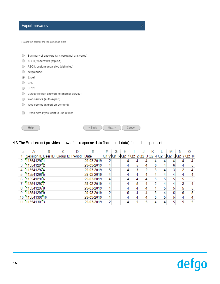#### **Export answers**

Help

Select the format for the exported data

| Summary of answers (answered/not answered) |
|--------------------------------------------|
| ASCII, fixed width (triple-s)              |
| ASCII, custom separated (delimited)        |
| defgo panel                                |
| Excel                                      |
| SAS                                        |
| <b>SPSS</b>                                |
| Survey (export answers to another survey)  |
| Web service (auto export)                  |
| Web service (export on demand)             |
| Press here if you want to use a filter     |
|                                            |

#### 4.3 The Excel export provides a row of all response data (incl. panel data) for each respondent.

 $<$ Back

|    | R |                                                                                                                                           |  |                                                      | G                                                                                                                          | н |   |   | K |   | M | N |   |                                                   |
|----|---|-------------------------------------------------------------------------------------------------------------------------------------------|--|------------------------------------------------------|----------------------------------------------------------------------------------------------------------------------------|---|---|---|---|---|---|---|---|---------------------------------------------------|
|    |   |                                                                                                                                           |  |                                                      |                                                                                                                            |   |   |   |   |   |   |   |   |                                                   |
|    |   |                                                                                                                                           |  | 2                                                    |                                                                                                                            |   |   |   |   |   |   |   |   |                                                   |
|    |   |                                                                                                                                           |  | 4                                                    |                                                                                                                            |   | 5 |   | 6 |   |   |   | 5 |                                                   |
|    |   |                                                                                                                                           |  | 5                                                    |                                                                                                                            |   | 3 | 2 | ٩ |   |   |   |   |                                                   |
|    |   |                                                                                                                                           |  | 4                                                    |                                                                                                                            |   |   |   | 4 |   |   |   |   |                                                   |
|    |   |                                                                                                                                           |  | 4                                                    |                                                                                                                            | 4 |   |   | 5 | 5 |   |   | 5 |                                                   |
|    |   |                                                                                                                                           |  | 4                                                    |                                                                                                                            |   | 5 |   | 2 |   |   |   |   |                                                   |
|    |   |                                                                                                                                           |  | 4                                                    |                                                                                                                            |   |   |   |   |   |   |   |   |                                                   |
|    |   |                                                                                                                                           |  | 2                                                    |                                                                                                                            | 5 |   |   |   |   |   |   |   |                                                   |
| 10 |   |                                                                                                                                           |  |                                                      |                                                                                                                            |   |   |   | 5 |   |   |   |   |                                                   |
|    |   |                                                                                                                                           |  | 2                                                    |                                                                                                                            |   |   |   |   |   |   |   |   |                                                   |
|    |   | 1135412901<br>1135412912<br>1135412924<br>1135412955<br>1135412966<br>1135412977<br>1135412978<br>1135412999<br>11354130010<br>1135413033 |  | Session IDUser ID Group ID Period Date<br>29-03-2019 | 29-03-2019<br>29-03-2019<br>29-03-2019<br>29-03-2019<br>29-03-2019<br>29-03-2019<br>29-03-2019<br>29-03-2019<br>29-03-2019 |   |   |   |   |   |   |   |   | Q1 W Q1 x Q2 1 Q2 2 Q2 3 Q2 4 Q2 5 Q2 6 Q2 7 Q2 8 |

 $Next >$ 

Cancel